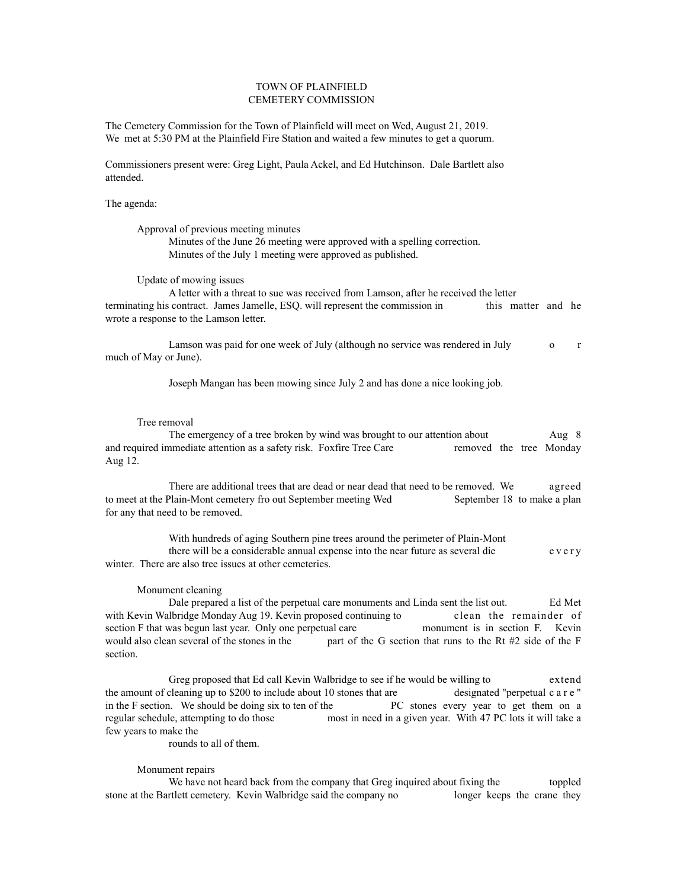## TOWN OF PLAINFIELD CEMETERY COMMISSION

The Cemetery Commission for the Town of Plainfield will meet on Wed, August 21, 2019. We met at 5:30 PM at the Plainfield Fire Station and waited a few minutes to get a quorum.

Commissioners present were: Greg Light, Paula Ackel, and Ed Hutchinson. Dale Bartlett also attended.

The agenda:

Approval of previous meeting minutes Minutes of the June 26 meeting were approved with a spelling correction. Minutes of the July 1 meeting were approved as published.

Update of mowing issues

A letter with a threat to sue was received from Lamson, after he received the letter terminating his contract. James Jamelle, ESQ. will represent the commission in this matter and he wrote a response to the Lamson letter.

Lamson was paid for one week of July (although no service was rendered in July o r much of May or June).

Joseph Mangan has been mowing since July 2 and has done a nice looking job.

## Tree removal

The emergency of a tree broken by wind was brought to our attention about Aug 8 and required immediate attention as a safety risk. Foxfire Tree Care removed the tree Monday Aug 12.

There are additional trees that are dead or near dead that need to be removed. We agreed to meet at the Plain-Mont cemetery fro out September meeting Wed September 18 to make a plan for any that need to be removed.

With hundreds of aging Southern pine trees around the perimeter of Plain-Mont there will be a considerable annual expense into the near future as several die every winter. There are also tree issues at other cemeteries.

Monument cleaning

Dale prepared a list of the perpetual care monuments and Linda sent the list out. Ed Met with Kevin Walbridge Monday Aug 19. Kevin proposed continuing to clean the remainder of section F that was begun last year. Only one perpetual care monument is in section F. Kevin would also clean several of the stones in the part of the G section that runs to the Rt #2 side of the F section.

Greg proposed that Ed call Kevin Walbridge to see if he would be willing to extend the amount of cleaning up to \$200 to include about 10 stones that are designated "perpetual c a r e "<br>in the F section. We should be doing six to ten of the PC stones every year to get them on a in the F section. We should be doing six to ten of the regular schedule, attempting to do those most in need in a given year. With 47 PC lots it will take a few years to make the

rounds to all of them.

## Monument repairs

We have not heard back from the company that Greg inquired about fixing the toppled stone at the Bartlett cemetery. Kevin Walbridge said the company no longer keeps the crane they